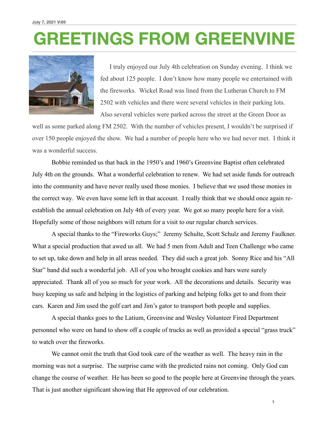## **GREETINGS FROM GREENVINE**



 I truly enjoyed our July 4th celebration on Sunday evening. I think we fed about 125 people. I don't know how many people we entertained with the fireworks. Wickel Road was lined from the Lutheran Church to FM 2502 with vehicles and there were several vehicles in their parking lots. Also several vehicles were parked across the street at the Green Door as

well as some parked along FM 2502. With the number of vehicles present, I wouldn't be surprised if over 150 people enjoyed the show. We had a number of people here who we had never met. I think it was a wonderful success.

 Bobbie reminded us that back in the 1950's and 1960's Greenvine Baptist often celebrated July 4th on the grounds. What a wonderful celebration to renew. We had set aside funds for outreach into the community and have never really used those monies. I believe that we used those monies in the correct way. We even have some left in that account. I really think that we should once again reestablish the annual celebration on July 4th of every year. We got so many people here for a visit. Hopefully some of those neighbors will return for a visit to our regular church services.

 A special thanks to the "Fireworks Guys;" Jeremy Schulte, Scott Schulz and Jeremy Faulkner. What a special production that awed us all. We had 5 men from Adult and Teen Challenge who came to set up, take down and help in all areas needed. They did such a great job. Sonny Rice and his "All Star" band did such a wonderful job. All of you who brought cookies and bars were surely appreciated. Thank all of you so much for your work. All the decorations and details. Security was busy keeping us safe and helping in the logistics of parking and helping folks get to and from their cars. Karen and Jim used the golf cart and Jim's gator to transport both people and supplies.

 A special thanks goes to the Latium, Greenvine and Wesley Volunteer Fired Department personnel who were on hand to show off a couple of trucks as well as provided a special "grass truck" to watch over the fireworks.

 We cannot omit the truth that God took care of the weather as well. The heavy rain in the morning was not a surprise. The surprise came with the predicted rains not coming. Only God can change the course of weather. He has been so good to the people here at Greenvine through the years. That is just another significant showing that He approved of our celebration.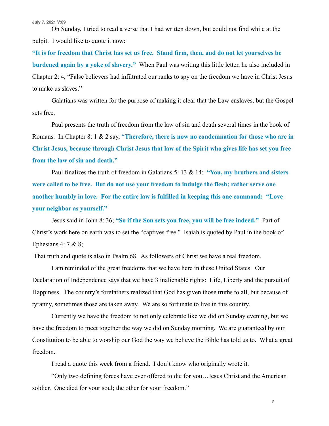On Sunday, I tried to read a verse that I had written down, but could not find while at the pulpit. I would like to quote it now:

**"It is for freedom that Christ has set us free. Stand firm, then, and do not let yourselves be burdened again by a yoke of slavery."** When Paul was writing this little letter, he also included in Chapter 2: 4, "False believers had infiltrated our ranks to spy on the freedom we have in Christ Jesus to make us slaves."

 Galatians was written for the purpose of making it clear that the Law enslaves, but the Gospel sets free.

 Paul presents the truth of freedom from the law of sin and death several times in the book of Romans. In Chapter 8: 1 & 2 say, **"Therefore, there is now no condemnation for those who are in Christ Jesus, because through Christ Jesus that law of the Spirit who gives life has set you free from the law of sin and death."** 

 Paul finalizes the truth of freedom in Galatians 5: 13 & 14: **"You, my brothers and sisters were called to be free. But do not use your freedom to indulge the flesh; rather serve one another humbly in love. For the entire law is fulfilled in keeping this one command: "Love your neighbor as yourself."** 

 Jesus said in John 8: 36; **"So if the Son sets you free, you will be free indeed."** Part of Christ's work here on earth was to set the "captives free." Isaiah is quoted by Paul in the book of Ephesians 4: 7 & 8;

That truth and quote is also in Psalm 68. As followers of Christ we have a real freedom.

 I am reminded of the great freedoms that we have here in these United States. Our Declaration of Independence says that we have 3 inalienable rights: Life, Liberty and the pursuit of Happiness. The country's forefathers realized that God has given those truths to all, but because of tyranny, sometimes those are taken away. We are so fortunate to live in this country.

 Currently we have the freedom to not only celebrate like we did on Sunday evening, but we have the freedom to meet together the way we did on Sunday morning. We are guaranteed by our Constitution to be able to worship our God the way we believe the Bible has told us to. What a great freedom.

I read a quote this week from a friend. I don't know who originally wrote it.

 "Only two defining forces have ever offered to die for you…Jesus Christ and the American soldier. One died for your soul; the other for your freedom."

**2**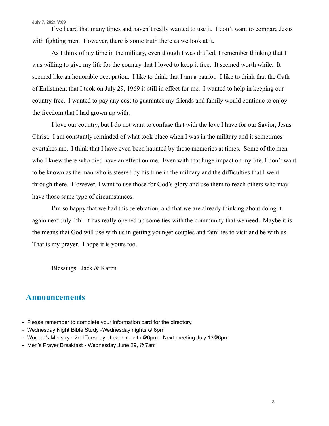I've heard that many times and haven't really wanted to use it. I don't want to compare Jesus with fighting men. However, there is some truth there as we look at it.

 As I think of my time in the military, even though I was drafted, I remember thinking that I was willing to give my life for the country that I loved to keep it free. It seemed worth while. It seemed like an honorable occupation. I like to think that I am a patriot. I like to think that the Oath of Enlistment that I took on July 29, 1969 is still in effect for me. I wanted to help in keeping our country free. I wanted to pay any cost to guarantee my friends and family would continue to enjoy the freedom that I had grown up with.

 I love our country, but I do not want to confuse that with the love I have for our Savior, Jesus Christ. I am constantly reminded of what took place when I was in the military and it sometimes overtakes me. I think that I have even been haunted by those memories at times. Some of the men who I knew there who died have an effect on me. Even with that huge impact on my life, I don't want to be known as the man who is steered by his time in the military and the difficulties that I went through there. However, I want to use those for God's glory and use them to reach others who may have those same type of circumstances.

 I'm so happy that we had this celebration, and that we are already thinking about doing it again next July 4th. It has really opened up some ties with the community that we need. Maybe it is the means that God will use with us in getting younger couples and families to visit and be with us. That is my prayer. I hope it is yours too.

Blessings. Jack & Karen

## **Announcements**

- Please remember to complete your information card for the directory.
- Wednesday Night Bible Study -Wednesday nights @ 6pm
- Women's Ministry 2nd Tuesday of each month @6pm Next meeting July 13@6pm
- Men's Prayer Breakfast Wednesday June 29, @ 7am